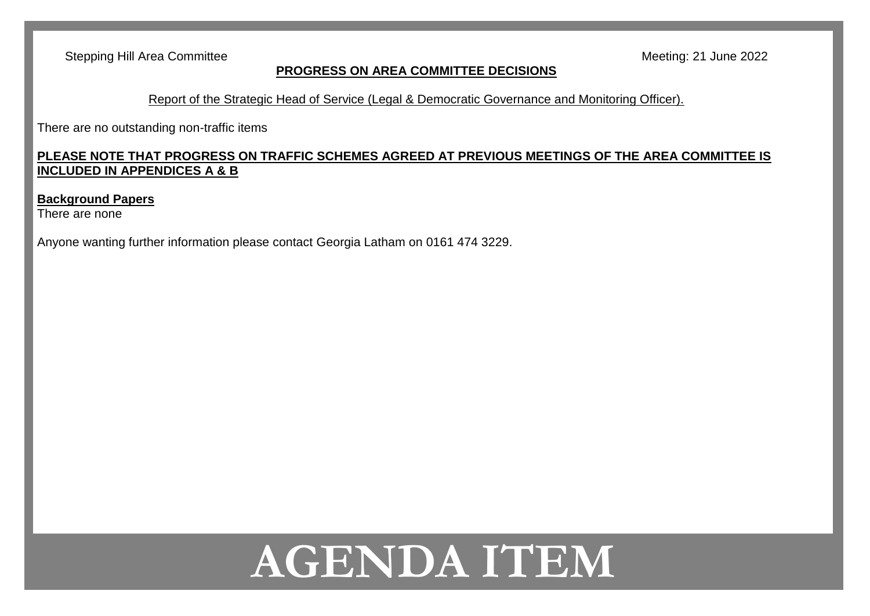Stepping Hill Area Committee Meeting: 21 June 2022

#### **PROGRESS ON AREA COMMITTEE DECISIONS**

Report of the Strategic Head of Service (Legal & Democratic Governance and Monitoring Officer).

There are no outstanding non-traffic items

#### **PLEASE NOTE THAT PROGRESS ON TRAFFIC SCHEMES AGREED AT PREVIOUS MEETINGS OF THE AREA COMMITTEE IS INCLUDED IN APPENDICES A & B**

#### **Background Papers**

There are none

Anyone wanting further information please contact Georgia Latham on 0161 474 3229.

# **AGENDA ITEM**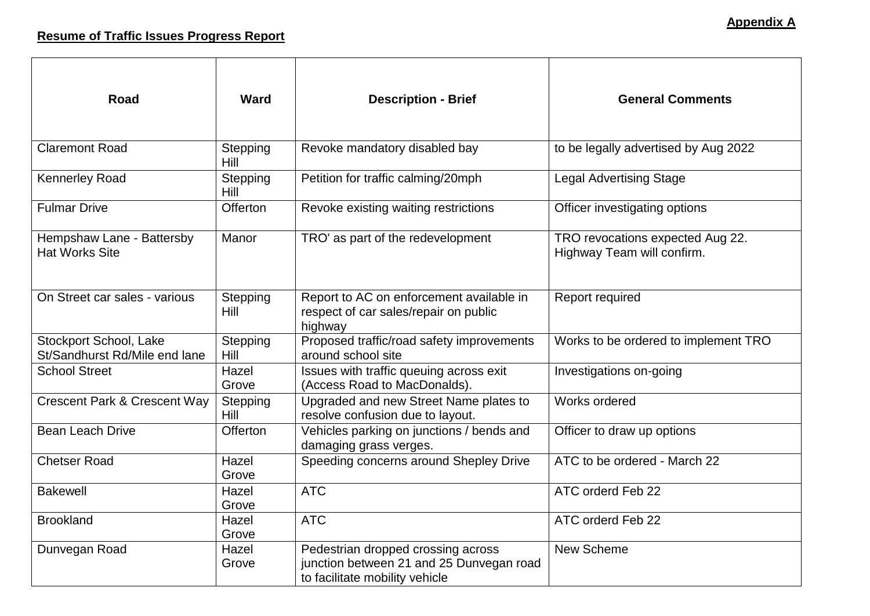| <b>Road</b>                                             | <b>Ward</b>      | <b>Description - Brief</b>                                                                                       | <b>General Comments</b>                                        |
|---------------------------------------------------------|------------------|------------------------------------------------------------------------------------------------------------------|----------------------------------------------------------------|
| <b>Claremont Road</b>                                   | Stepping<br>Hill | Revoke mandatory disabled bay                                                                                    | to be legally advertised by Aug 2022                           |
| <b>Kennerley Road</b>                                   | Stepping<br>Hill | Petition for traffic calming/20mph                                                                               | <b>Legal Advertising Stage</b>                                 |
| <b>Fulmar Drive</b>                                     | Offerton         | Revoke existing waiting restrictions                                                                             | Officer investigating options                                  |
| Hempshaw Lane - Battersby<br><b>Hat Works Site</b>      | Manor            | TRO' as part of the redevelopment                                                                                | TRO revocations expected Aug 22.<br>Highway Team will confirm. |
| On Street car sales - various                           | Stepping<br>Hill | Report to AC on enforcement available in<br>respect of car sales/repair on public<br>highway                     | Report required                                                |
| Stockport School, Lake<br>St/Sandhurst Rd/Mile end lane | Stepping<br>Hill | Proposed traffic/road safety improvements<br>around school site                                                  | Works to be ordered to implement TRO                           |
| <b>School Street</b>                                    | Hazel<br>Grove   | Issues with traffic queuing across exit<br>(Access Road to MacDonalds).                                          | Investigations on-going                                        |
| <b>Crescent Park &amp; Crescent Way</b>                 | Stepping<br>Hill | Upgraded and new Street Name plates to<br>resolve confusion due to layout.                                       | Works ordered                                                  |
| <b>Bean Leach Drive</b>                                 | Offerton         | Vehicles parking on junctions / bends and<br>damaging grass verges.                                              | Officer to draw up options                                     |
| <b>Chetser Road</b>                                     | Hazel<br>Grove   | Speeding concerns around Shepley Drive                                                                           | ATC to be ordered - March 22                                   |
| <b>Bakewell</b>                                         | Hazel<br>Grove   | <b>ATC</b>                                                                                                       | ATC orderd Feb 22                                              |
| <b>Brookland</b>                                        | Hazel<br>Grove   | <b>ATC</b>                                                                                                       | ATC orderd Feb 22                                              |
| Dunvegan Road                                           | Hazel<br>Grove   | Pedestrian dropped crossing across<br>junction between 21 and 25 Dunvegan road<br>to facilitate mobility vehicle | New Scheme                                                     |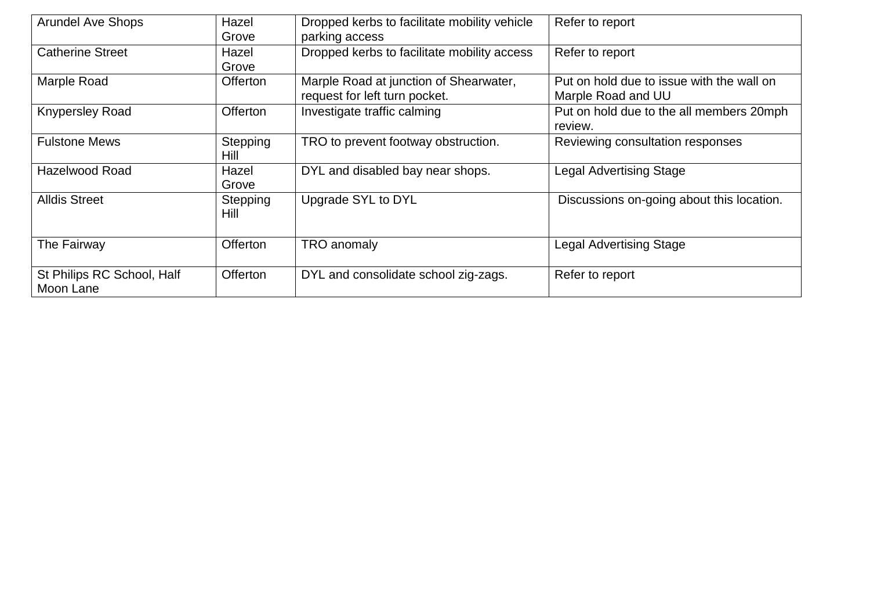| <b>Arundel Ave Shops</b>                | Hazel<br>Grove   | Dropped kerbs to facilitate mobility vehicle<br>parking access          | Refer to report                                                 |
|-----------------------------------------|------------------|-------------------------------------------------------------------------|-----------------------------------------------------------------|
| <b>Catherine Street</b>                 | Hazel<br>Grove   | Dropped kerbs to facilitate mobility access                             | Refer to report                                                 |
| Marple Road                             | <b>Offerton</b>  | Marple Road at junction of Shearwater,<br>request for left turn pocket. | Put on hold due to issue with the wall on<br>Marple Road and UU |
| <b>Knypersley Road</b>                  | Offerton         | Investigate traffic calming                                             | Put on hold due to the all members 20mph<br>review.             |
| <b>Fulstone Mews</b>                    | Stepping<br>Hill | TRO to prevent footway obstruction.                                     | Reviewing consultation responses                                |
| <b>Hazelwood Road</b>                   | Hazel<br>Grove   | DYL and disabled bay near shops.                                        | <b>Legal Advertising Stage</b>                                  |
| <b>Alldis Street</b>                    | Stepping<br>Hill | Upgrade SYL to DYL                                                      | Discussions on-going about this location.                       |
| The Fairway                             | <b>Offerton</b>  | <b>TRO</b> anomaly                                                      | <b>Legal Advertising Stage</b>                                  |
| St Philips RC School, Half<br>Moon Lane | <b>Offerton</b>  | DYL and consolidate school zig-zags.                                    | Refer to report                                                 |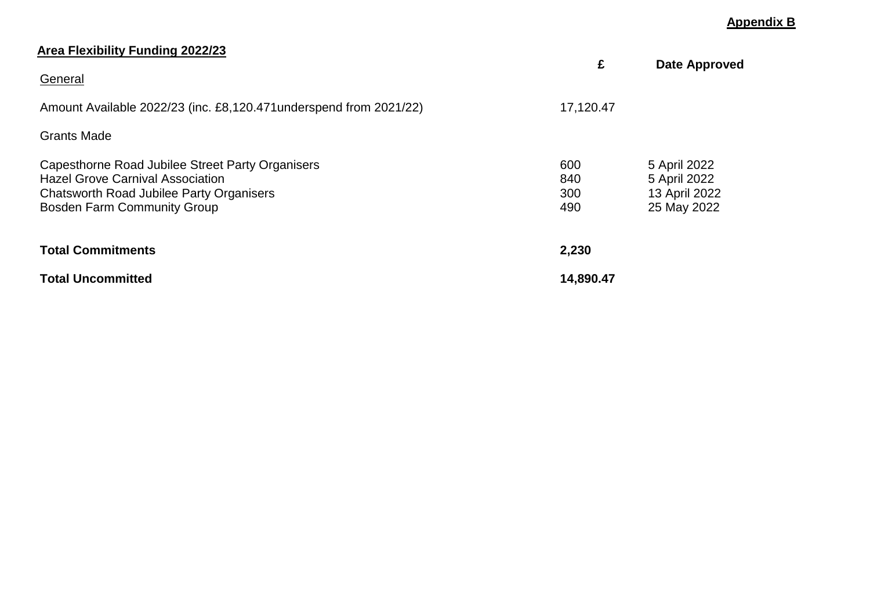#### **Appendix B**

| <u>Area Flexibility Funding 2022/23</u>                                                                                                                                              | £                        | <b>Date Approved</b>                                         |
|--------------------------------------------------------------------------------------------------------------------------------------------------------------------------------------|--------------------------|--------------------------------------------------------------|
| General                                                                                                                                                                              |                          |                                                              |
| Amount Available 2022/23 (inc. £8,120.471 underspend from 2021/22)                                                                                                                   | 17,120.47                |                                                              |
| <b>Grants Made</b>                                                                                                                                                                   |                          |                                                              |
| Capesthorne Road Jubilee Street Party Organisers<br><b>Hazel Grove Carnival Association</b><br><b>Chatsworth Road Jubilee Party Organisers</b><br><b>Bosden Farm Community Group</b> | 600<br>840<br>300<br>490 | 5 April 2022<br>5 April 2022<br>13 April 2022<br>25 May 2022 |
| <b>Total Commitments</b>                                                                                                                                                             | 2,230                    |                                                              |
| <b>Total Uncommitted</b>                                                                                                                                                             | 14,890.47                |                                                              |